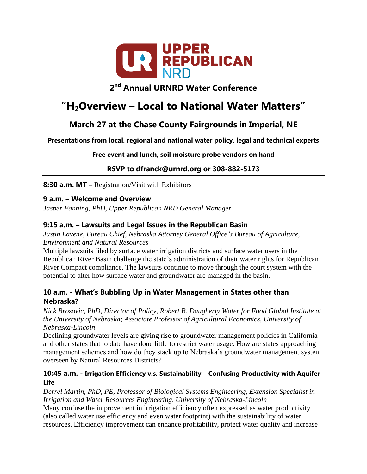

# **2 nd Annual URNRD Water Conference**

# **"H2Overview – Local to National Water Matters"**

# **March 27 at the Chase County Fairgrounds in Imperial, NE**

**Presentations from local, regional and national water policy, legal and technical experts**

**Free event and lunch, soil moisture probe vendors on hand**

**RSVP to dfranck@urnrd.org or 308-882-5173**

**8:30 a.m. MT –** Registration/Visit with Exhibitors

#### **9 a.m. – Welcome and Overview**

*Jasper Fanning, PhD, Upper Republican NRD General Manager*

## **9:15 a.m. – Lawsuits and Legal Issues in the Republican Basin**

*Justin Lavene, Bureau Chief, Nebraska Attorney General Office's Bureau of Agriculture, Environment and Natural Resources*

Multiple lawsuits filed by surface water irrigation districts and surface water users in the Republican River Basin challenge the state's administration of their water rights for Republican River Compact compliance. The lawsuits continue to move through the court system with the potential to alter how surface water and groundwater are managed in the basin.

#### **10 a.m. - What's Bubbling Up in Water Management in States other than Nebraska?**

*Nick Brozovic, PhD, Director of Policy, Robert B. Daugherty Water for Food Global Institute at the University of Nebraska; Associate Professor of Agricultural Economics, University of Nebraska-Lincoln*

Declining groundwater levels are giving rise to groundwater management policies in California and other states that to date have done little to restrict water usage. How are states approaching management schemes and how do they stack up to Nebraska's groundwater management system overseen by Natural Resources Districts?

#### **10:45 a.m. - Irrigation Efficiency v.s. Sustainability – Confusing Productivity with Aquifer Life**

*Derrel Martin, PhD, PE, Professor of Biological Systems Engineering, Extension Specialist in Irrigation and Water Resources Engineering, University of Nebraska-Lincoln* Many confuse the improvement in irrigation efficiency often expressed as water productivity (also called water use efficiency and even water footprint) with the sustainability of water resources. Efficiency improvement can enhance profitability, protect water quality and increase